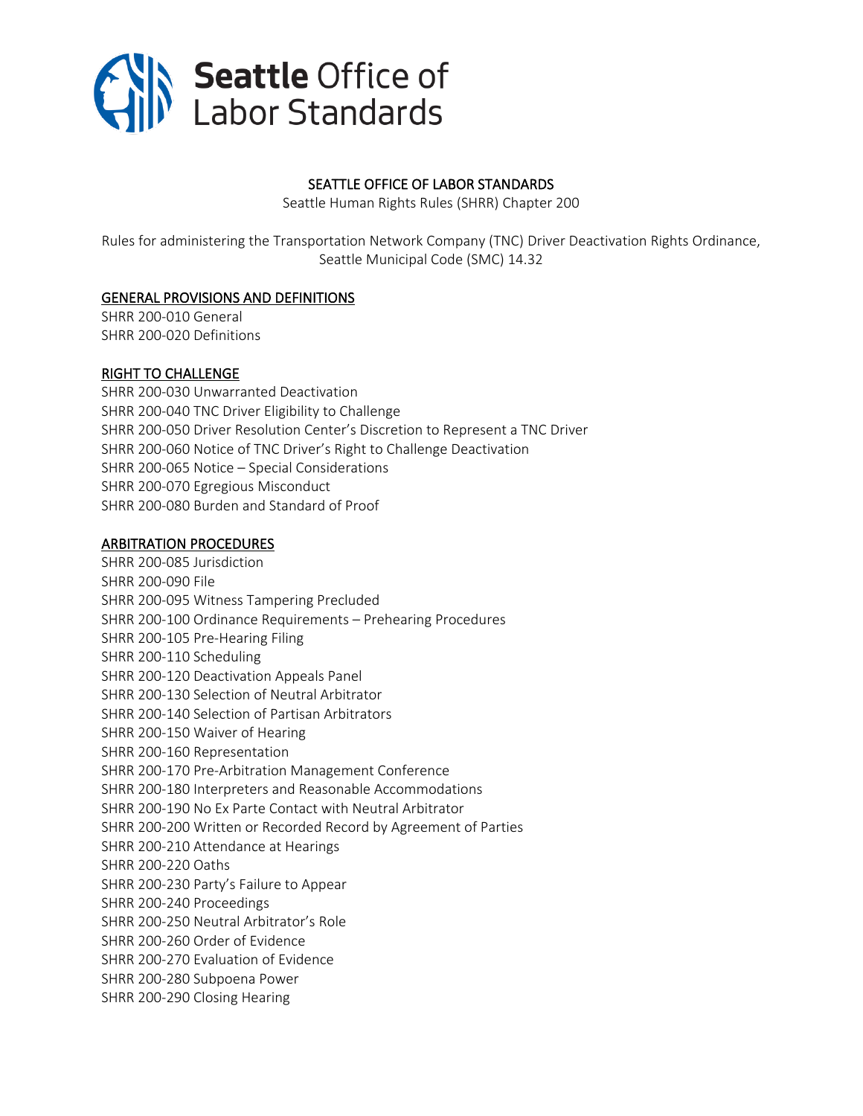

#### SEATTLE OFFICE OF LABOR STANDARDS

Seattle Human Rights Rules (SHRR) Chapter 200

Rules for administering the Transportation Network Company (TNC) Driver Deactivation Rights Ordinance, Seattle Municipal Code (SMC) 14.32

#### [GENERAL PROVISIONS AND DEFINITIONS](#page-2-0)

[SHRR 200-010 General](#page-2-1) [SHRR 200-020 Definitions](#page-2-2)

#### [RIGHT TO CHALLENGE](#page-3-0)

[SHRR 200-030 Unwarranted Deactivation](#page-3-1) [SHRR 200-040 TNC Driver Eligibility to Challenge](#page-4-0) SHRR 200-05[0 Driver Resolution Center's Discretion to Represent a TNC Driver](#page-4-1) SHRR 200-06[0 Notice of TNC Driver's Right to](#page-5-0) Challenge Deactivation SHRR 200-065 Notice – [Special Considerations](#page-6-0) [SHRR 200-070 Egregious Misconduct](#page-6-1) [SHRR 200-080 Burden](#page-7-0) and Standard of Proof

#### [ARBITRATION PROCEDURES](#page-7-1)

[SHRR 200-085 Jurisdiction](#page-7-2) [SHRR 200-090 File](#page-7-3) [SHRR 200-095 Witness Tampering Precluded](#page-8-0) SHRR 200-100 [Ordinance Requirements](#page-8-1) – Prehearing Procedures [SHRR 200-105 Pre-Hearing Filing](#page-8-2) [SHRR 200-110 Scheduling](#page-9-0) SHRR 200-120 [Deactivation Appeals Panel](#page-9-1) SHRR 200-130 [Selection of Neutral Arbitrator](#page-9-2) SHRR 200-140 [Selection of Partisan Arbitrators](#page-10-0) SHRR 200-150 [Waiver of Hearing](#page-10-1) SHRR 200-160 [Representation](#page-10-2) SHRR 200-170 [Pre-Arbitration Management Conference](#page-10-3) SHRR 200-180 [Interpreters and Reasonable Accommodations](#page-10-4) SHRR 200-190 [No Ex Parte Contact with Neutral Arbitrator](#page-11-0) SHRR 200-200 [Written or Recorded Record by Agreement of Parties](#page-11-1) [SHRR 200-210 Attendance at Hearings](#page-11-2) [SHRR 200-220 Oaths](#page-11-3) SHRR 200-230 [Party's Failure to Appear](#page-11-4) [SHRR 200-240 Proceedings](#page-11-5) [SHRR 200-250 Neutral Arbitrator](#page-11-6)'s Role [SHRR 200-260 Order of Evidence](#page-12-0) [SHRR 200-270 Evaluation of Evidence](#page-12-1) [SHRR 200-280 Subpoena Power](#page-13-0) [SHRR 200-290 Closing Hearing](#page-13-1)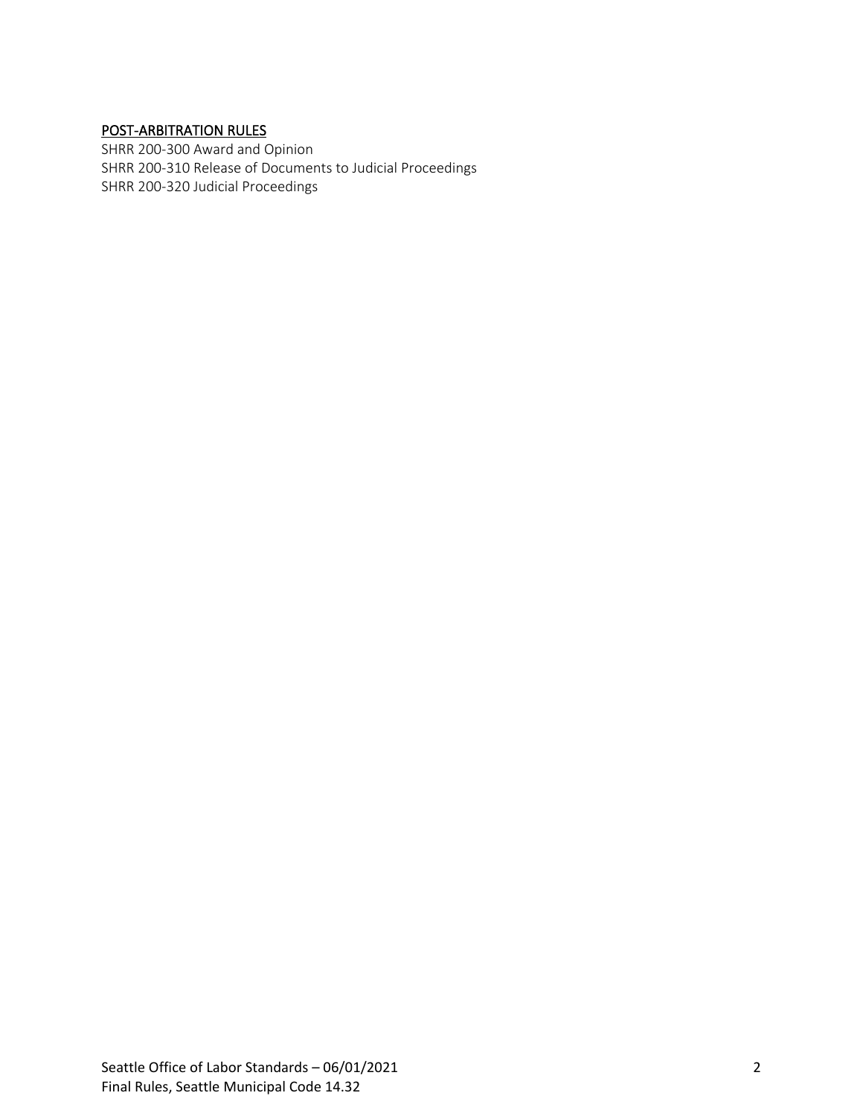## [POST-ARBITRATION RULES](#page-13-2)

[SHRR 200-300 Award and Opinion](#page-13-3) [SHRR 200-310 Release of Documents to Judicial Proceedings](#page-14-0) [SHRR 200-320 Judicial Proceedings](#page-14-1)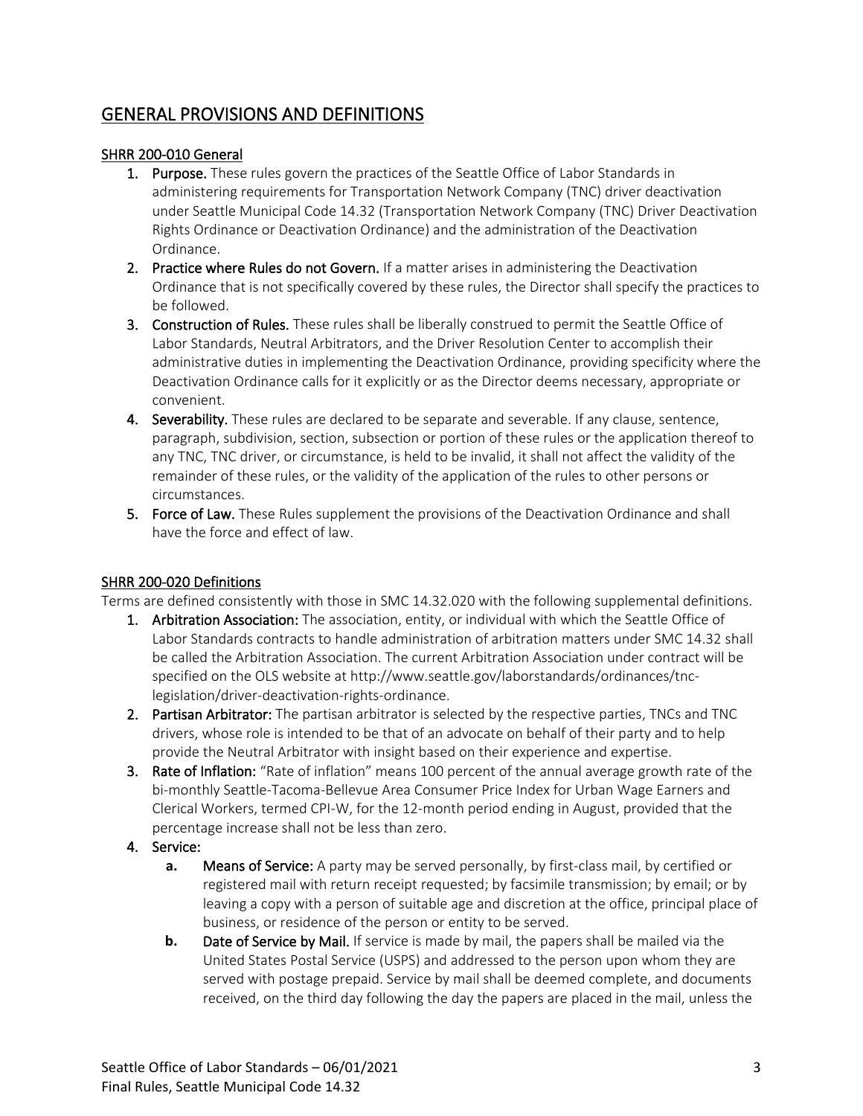# <span id="page-2-0"></span>GENERAL PROVISIONS AND DEFINITIONS

## <span id="page-2-1"></span>SHRR 200-010 General

- **1.** Purpose. These rules govern the practices of the Seattle Office of Labor Standards in administering requirements for Transportation Network Company (TNC) driver deactivation under Seattle Municipal Code 14.32 (Transportation Network Company (TNC) Driver Deactivation Rights Ordinance or Deactivation Ordinance) and the administration of the Deactivation Ordinance.
- 2. Practice where Rules do not Govern. If a matter arises in administering the Deactivation Ordinance that is not specifically covered by these rules, the Director shall specify the practices to be followed.
- 3. Construction of Rules. These rules shall be liberally construed to permit the Seattle Office of Labor Standards, Neutral Arbitrators, and the Driver Resolution Center to accomplish their administrative duties in implementing the Deactivation Ordinance, providing specificity where the Deactivation Ordinance calls for it explicitly or as the Director deems necessary, appropriate or convenient.
- 4. Severability. These rules are declared to be separate and severable. If any clause, sentence, paragraph, subdivision, section, subsection or portion of these rules or the application thereof to any TNC, TNC driver, or circumstance, is held to be invalid, it shall not affect the validity of the remainder of these rules, or the validity of the application of the rules to other persons or circumstances.
- 5. Force of Law. These Rules supplement the provisions of the Deactivation Ordinance and shall have the force and effect of law.

## <span id="page-2-2"></span>SHRR 200-020 Definitions

Terms are defined consistently with those in SMC 14.32.020 with the following supplemental definitions.

- 1. Arbitration Association: The association, entity, or individual with which the Seattle Office of Labor Standards contracts to handle administration of arbitration matters under SMC 14.32 shall be called the Arbitration Association. The current Arbitration Association under contract will be specified on the OLS website at http://www.seattle.gov/laborstandards/ordinances/tnclegislation/driver-deactivation-rights-ordinance.
- 2. Partisan Arbitrator: The partisan arbitrator is selected by the respective parties, TNCs and TNC drivers, whose role is intended to be that of an advocate on behalf of their party and to help provide the Neutral Arbitrator with insight based on their experience and expertise.
- 3. Rate of Inflation: "Rate of inflation" means 100 percent of the annual average growth rate of the bi-monthly Seattle-Tacoma-Bellevue Area Consumer Price Index for Urban Wage Earners and Clerical Workers, termed CPI-W, for the 12-month period ending in August, provided that the percentage increase shall not be less than zero.
- 4. Service:
	- **a.** Means of Service: A party may be served personally, by first-class mail, by certified or registered mail with return receipt requested; by facsimile transmission; by email; or by leaving a copy with a person of suitable age and discretion at the office, principal place of business, or residence of the person or entity to be served.
	- **b.** Date of Service by Mail. If service is made by mail, the papers shall be mailed via the United States Postal Service (USPS) and addressed to the person upon whom they are served with postage prepaid. Service by mail shall be deemed complete, and documents received, on the third day following the day the papers are placed in the mail, unless the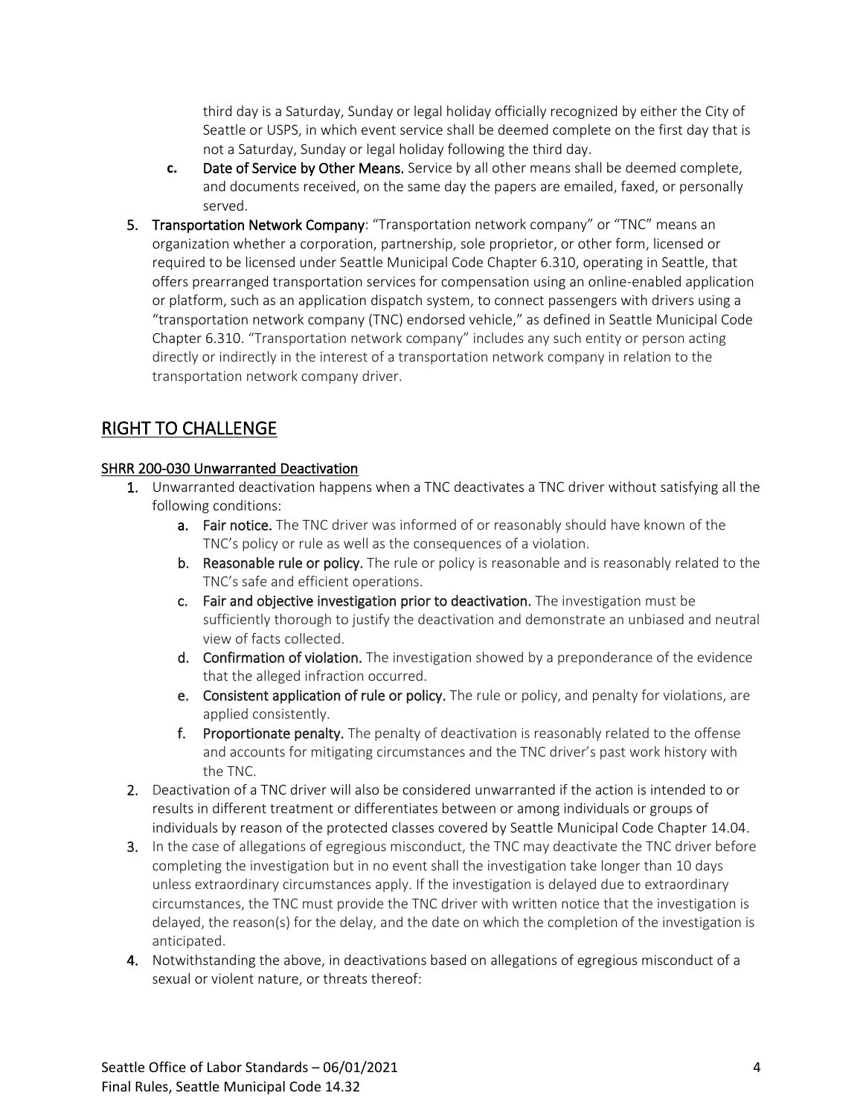third day is a Saturday, Sunday or legal holiday officially recognized by either the City of Seattle or USPS, in which event service shall be deemed complete on the first day that is not a Saturday, Sunday or legal holiday following the third day.

- **c.** Date of Service by Other Means. Service by all other means shall be deemed complete, and documents received, on the same day the papers are emailed, faxed, or personally served.
- 5. Transportation Network Company: "Transportation network company" or "TNC" means an organization whether a corporation, partnership, sole proprietor, or other form, licensed or required to be licensed under Seattle Municipal Code Chapter 6.310, operating in Seattle, that offers prearranged transportation services for compensation using an online-enabled application or platform, such as an application dispatch system, to connect passengers with drivers using a "transportation network company (TNC) endorsed vehicle," as defined in Seattle Municipal Code Chapter 6.310. "Transportation network company" includes any such entity or person acting directly or indirectly in the interest of a transportation network company in relation to the transportation network company driver.

# <span id="page-3-0"></span>RIGHT TO CHALLENGE

## <span id="page-3-1"></span>SHRR 200-030 Unwarranted Deactivation

- 1. Unwarranted deactivation happens when a TNC deactivates a TNC driver without satisfying all the following conditions:
	- a. Fair notice. The TNC driver was informed of or reasonably should have known of the TNC's policy or rule as well as the consequences of a violation.
	- b. Reasonable rule or policy. The rule or policy is reasonable and is reasonably related to the TNC's safe and efficient operations.
	- c. Fair and objective investigation prior to deactivation. The investigation must be sufficiently thorough to justify the deactivation and demonstrate an unbiased and neutral view of facts collected.
	- d. Confirmation of violation. The investigation showed by a preponderance of the evidence that the alleged infraction occurred.
	- e. Consistent application of rule or policy. The rule or policy, and penalty for violations, are applied consistently.
	- f. Proportionate penalty. The penalty of deactivation is reasonably related to the offense and accounts for mitigating circumstances and the TNC driver's past work history with the TNC.
- 2. Deactivation of a TNC driver will also be considered unwarranted if the action is intended to or results in different treatment or differentiates between or among individuals or groups of individuals by reason of the protected classes covered by Seattle Municipal Code Chapter 14.04.
- 3. In the case of allegations of egregious misconduct, the TNC may deactivate the TNC driver before completing the investigation but in no event shall the investigation take longer than 10 days unless extraordinary circumstances apply. If the investigation is delayed due to extraordinary circumstances, the TNC must provide the TNC driver with written notice that the investigation is delayed, the reason(s) for the delay, and the date on which the completion of the investigation is anticipated.
- 4. Notwithstanding the above, in deactivations based on allegations of egregious misconduct of a sexual or violent nature, or threats thereof: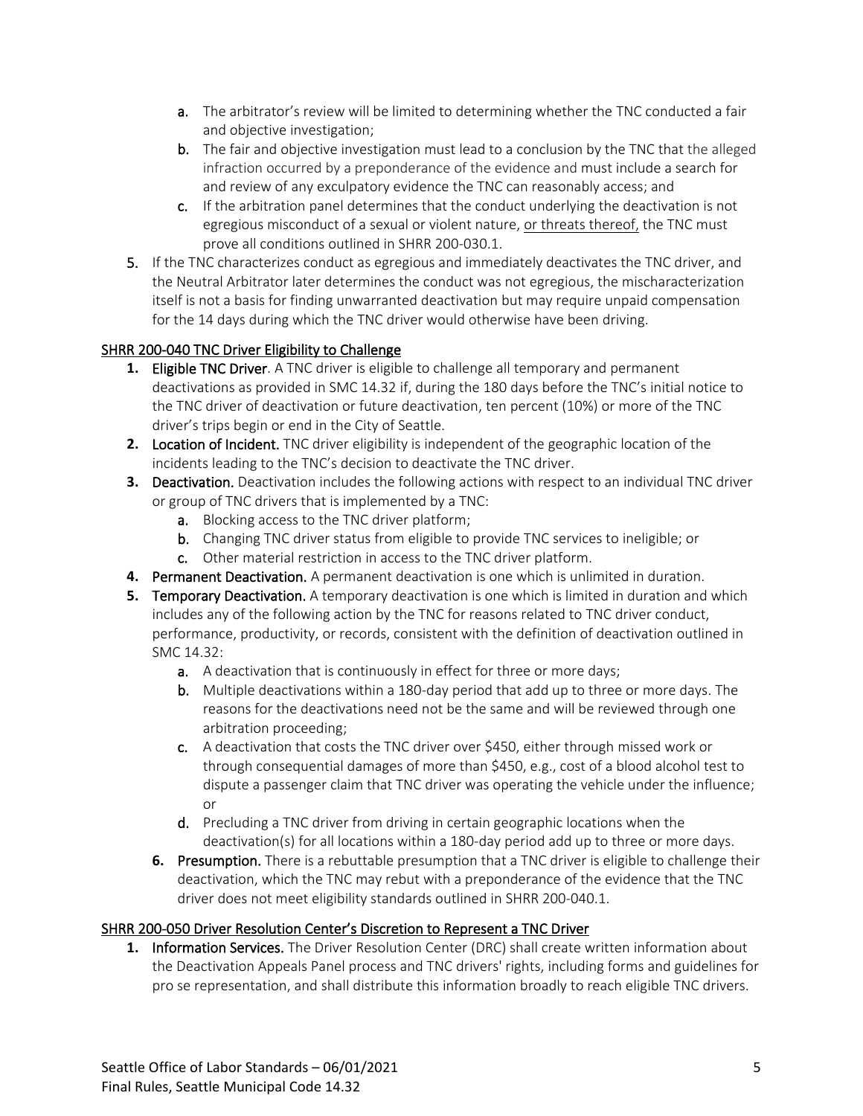- a. The arbitrator's review will be limited to determining whether the TNC conducted a fair and objective investigation;
- b. The fair and objective investigation must lead to a conclusion by the TNC that the alleged infraction occurred by a preponderance of the evidence and must include a search for and review of any exculpatory evidence the TNC can reasonably access; and
- c. If the arbitration panel determines that the conduct underlying the deactivation is not egregious misconduct of a sexual or violent nature, or threats thereof, the TNC must prove all conditions outlined in SHRR 200-030.1.
- 5. If the TNC characterizes conduct as egregious and immediately deactivates the TNC driver, and the Neutral Arbitrator later determines the conduct was not egregious, the mischaracterization itself is not a basis for finding unwarranted deactivation but may require unpaid compensation for the 14 days during which the TNC driver would otherwise have been driving.

## <span id="page-4-0"></span>SHRR 200-040 TNC Driver Eligibility to Challenge

- **1.** Eligible TNC Driver. A TNC driver is eligible to challenge all temporary and permanent deactivations as provided in SMC 14.32 if, during the 180 days before the TNC's initial notice to the TNC driver of deactivation or future deactivation, ten percent (10%) or more of the TNC driver's trips begin or end in the City of Seattle.
- **2.** Location of Incident. TNC driver eligibility is independent of the geographic location of the incidents leading to the TNC's decision to deactivate the TNC driver.
- **3.** Deactivation. Deactivation includes the following actions with respect to an individual TNC driver or group of TNC drivers that is implemented by a TNC:
	- a. Blocking access to the TNC driver platform;
	- b. Changing TNC driver status from eligible to provide TNC services to ineligible; or c. Other material restriction in access to the TNC driver platform.
- **4.** Permanent Deactivation. A permanent deactivation is one which is unlimited in duration.
- **5.** Temporary Deactivation. A temporary deactivation is one which is limited in duration and which includes any of the following action by the TNC for reasons related to TNC driver conduct, performance, productivity, or records, consistent with the definition of deactivation outlined in SMC 14.32:
	- **a.** A deactivation that is continuously in effect for three or more days;
	- b. Multiple deactivations within a 180-day period that add up to three or more days. The reasons for the deactivations need not be the same and will be reviewed through one arbitration proceeding;
	- c. A deactivation that costs the TNC driver over \$450, either through missed work or through consequential damages of more than \$450, e.g., cost of a blood alcohol test to dispute a passenger claim that TNC driver was operating the vehicle under the influence; or
	- d. Precluding a TNC driver from driving in certain geographic locations when the deactivation(s) for all locations within a 180-day period add up to three or more days.
	- **6.** Presumption. There is a rebuttable presumption that a TNC driver is eligible to challenge their deactivation, which the TNC may rebut with a preponderance of the evidence that the TNC driver does not meet eligibility standards outlined in SHRR 200-040.1.

## <span id="page-4-1"></span>SHRR 200-050 Driver Resolution Center's Discretion to Represent a TNC Driver

**1.** Information Services. The Driver Resolution Center (DRC) shall create written information about the Deactivation Appeals Panel process and TNC drivers' rights, including forms and guidelines for pro se representation, and shall distribute this information broadly to reach eligible TNC drivers.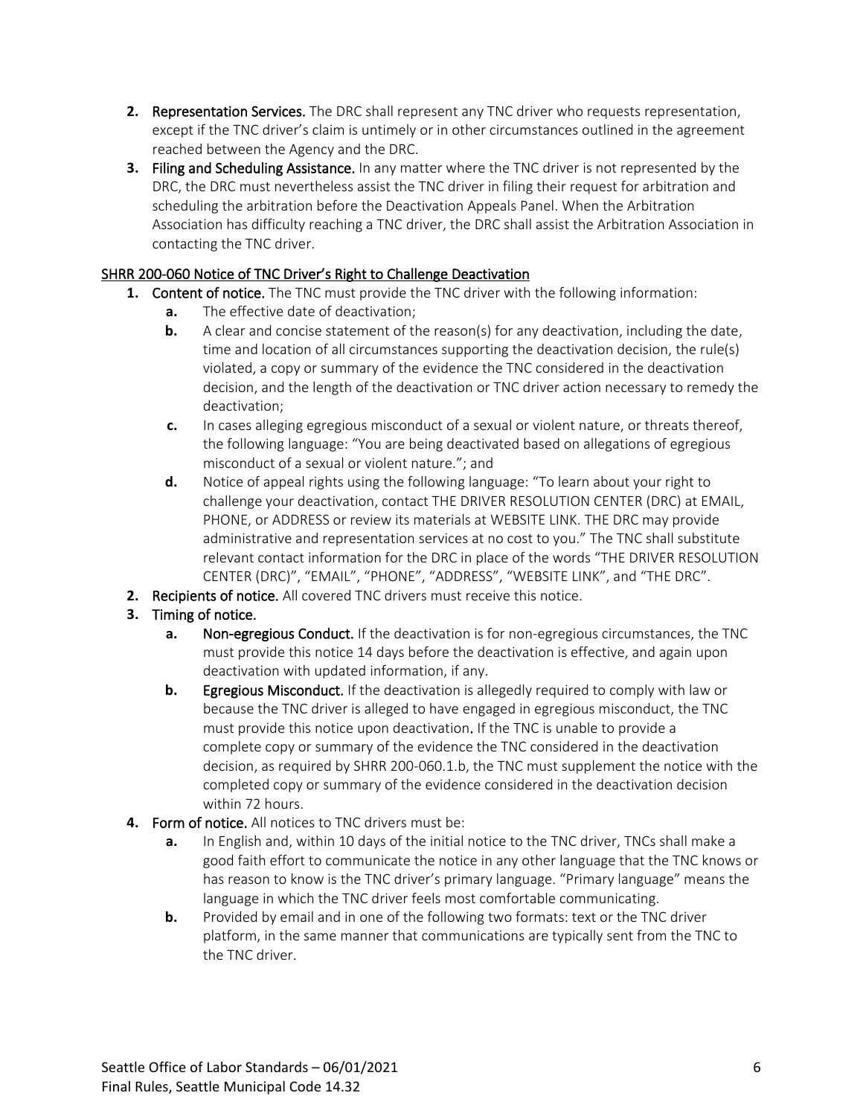- **2.** Representation Services. The DRC shall represent any TNC driver who requests representation, except if the TNC driver's claim is untimely or in other circumstances outlined in the agreement reached between the Agency and the DRC.
- **3.** Filing and Scheduling Assistance. In any matter where the TNC driver is not represented by the DRC, the DRC must nevertheless assist the TNC driver in filing their request for arbitration and scheduling the arbitration before the Deactivation Appeals Panel. When the Arbitration Association has difficulty reaching a TNC driver, the DRC shall assist the Arbitration Association in contacting the TNC driver.

## <span id="page-5-0"></span>SHRR 200-060 Notice of TNC Driver's Right to Challenge Deactivation

- **1.** Content of notice. The TNC must provide the TNC driver with the following information:
	- **a.** The effective date of deactivation;
	- **b.** A clear and concise statement of the reason(s) for any deactivation, including the date, time and location of all circumstances supporting the deactivation decision, the rule(s) violated, a copy or summary of the evidence the TNC considered in the deactivation decision, and the length of the deactivation or TNC driver action necessary to remedy the deactivation;
	- **c.** In cases alleging egregious misconduct of a sexual or violent nature, or threats thereof, the following language: "You are being deactivated based on allegations of egregious misconduct of a sexual or violent nature."; and
	- **d.** Notice of appeal rights using the following language: "To learn about your right to challenge your deactivation, contact THE DRIVER RESOLUTION CENTER (DRC) at EMAIL, PHONE, or ADDRESS or review its materials at WEBSITE LINK. THE DRC may provide administrative and representation services at no cost to you." The TNC shall substitute relevant contact information for the DRC in place of the words "THE DRIVER RESOLUTION CENTER (DRC)", "EMAIL", "PHONE", "ADDRESS", "WEBSITE LINK", and "THE DRC".
- **2.** Recipients of notice. All covered TNC drivers must receive this notice.
- **3.** Timing of notice.
	- **a.** Non-egregious Conduct. If the deactivation is for non-egregious circumstances, the TNC must provide this notice 14 days before the deactivation is effective, and again upon deactivation with updated information, if any.
	- **b.** Egregious Misconduct. If the deactivation is allegedly required to comply with law or because the TNC driver is alleged to have engaged in egregious misconduct, the TNC must provide this notice upon deactivation. If the TNC is unable to provide a complete copy or summary of the evidence the TNC considered in the deactivation decision, as required by SHRR 200-060.1.b, the TNC must supplement the notice with the completed copy or summary of the evidence considered in the deactivation decision within 72 hours.
- **4.** Form of notice. All notices to TNC drivers must be:
	- **a.** In English and, within 10 days of the initial notice to the TNC driver, TNCs shall make a good faith effort to communicate the notice in any other language that the TNC knows or has reason to know is the TNC driver's primary language. "Primary language" means the language in which the TNC driver feels most comfortable communicating.
	- **b.** Provided by email and in one of the following two formats: text or the TNC driver platform, in the same manner that communications are typically sent from the TNC to the TNC driver.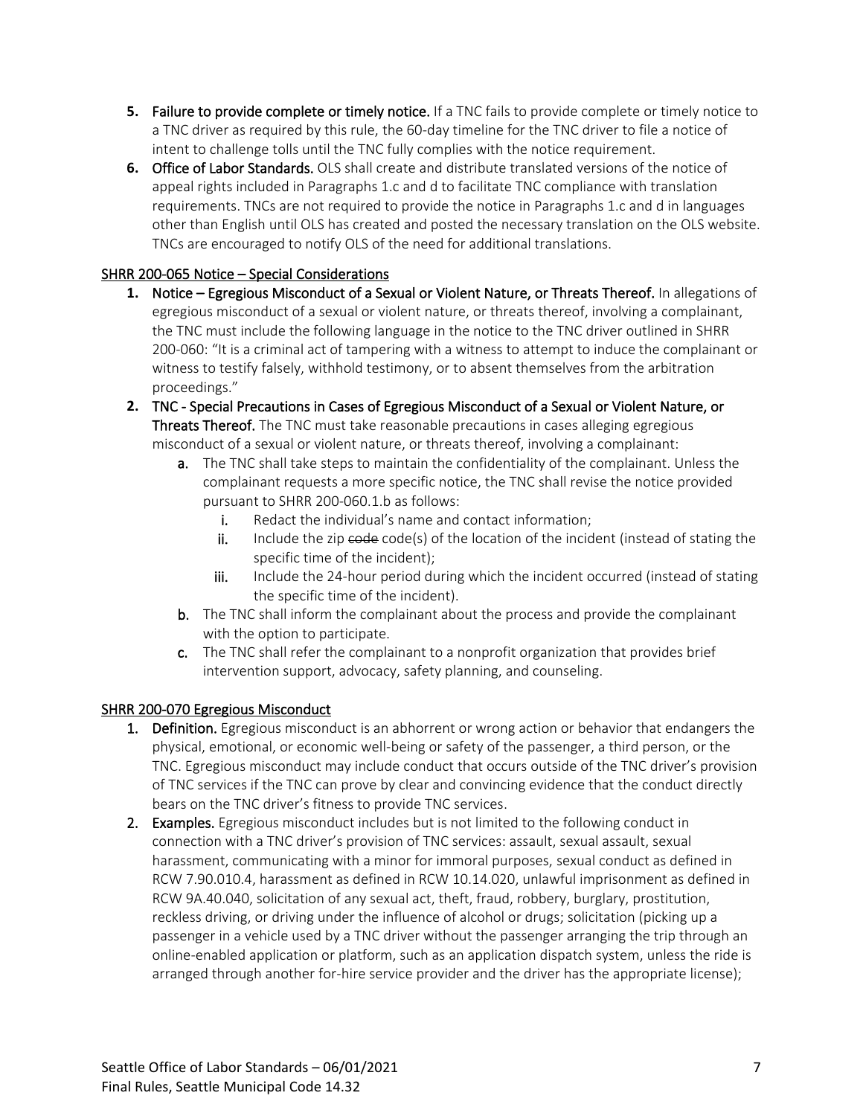- **5.** Failure to provide complete or timely notice. If a TNC fails to provide complete or timely notice to a TNC driver as required by this rule, the 60-day timeline for the TNC driver to file a notice of intent to challenge tolls until the TNC fully complies with the notice requirement.
- **6.** Office of Labor Standards. OLS shall create and distribute translated versions of the notice of appeal rights included in Paragraphs 1.c and d to facilitate TNC compliance with translation requirements. TNCs are not required to provide the notice in Paragraphs 1.c and d in languages other than English until OLS has created and posted the necessary translation on the OLS website. TNCs are encouraged to notify OLS of the need for additional translations.

## <span id="page-6-0"></span>SHRR 200-065 Notice – Special Considerations

- **1.** Notice Egregious Misconduct of a Sexual or Violent Nature, or Threats Thereof. In allegations of egregious misconduct of a sexual or violent nature, or threats thereof, involving a complainant, the TNC must include the following language in the notice to the TNC driver outlined in SHRR 200-060: "It is a criminal act of tampering with a witness to attempt to induce the complainant or witness to testify falsely, withhold testimony, or to absent themselves from the arbitration proceedings."
- **2.** TNC Special Precautions in Cases of Egregious Misconduct of a Sexual or Violent Nature, or Threats Thereof. The TNC must take reasonable precautions in cases alleging egregious misconduct of a sexual or violent nature, or threats thereof, involving a complainant:
	- a. The TNC shall take steps to maintain the confidentiality of the complainant. Unless the complainant requests a more specific notice, the TNC shall revise the notice provided pursuant to SHRR 200-060.1.b as follows:
		- i. Redact the individual's name and contact information;
		- $\mathbf{i}$ . Include the zip  $\mathbf{code}$  code(s) of the location of the incident (instead of stating the specific time of the incident);
		- iii. Include the 24-hour period during which the incident occurred (instead of stating the specific time of the incident).
	- b. The TNC shall inform the complainant about the process and provide the complainant with the option to participate.
	- c. The TNC shall refer the complainant to a nonprofit organization that provides brief intervention support, advocacy, safety planning, and counseling.

## <span id="page-6-1"></span>SHRR 200-070 Egregious Misconduct

- 1. Definition. Egregious misconduct is an abhorrent or wrong action or behavior that endangers the physical, emotional, or economic well-being or safety of the passenger, a third person, or the TNC. Egregious misconduct may include conduct that occurs outside of the TNC driver's provision of TNC services if the TNC can prove by clear and convincing evidence that the conduct directly bears on the TNC driver's fitness to provide TNC services.
- 2. Examples. Egregious misconduct includes but is not limited to the following conduct in connection with a TNC driver's provision of TNC services: assault, sexual assault, sexual harassment, communicating with a minor for immoral purposes, sexual conduct as defined in RCW 7.90.010.4, harassment as defined in RCW 10.14.020, unlawful imprisonment as defined in RCW 9A.40.040, solicitation of any sexual act, theft, fraud, robbery, burglary, prostitution, reckless driving, or driving under the influence of alcohol or drugs; solicitation (picking up a passenger in a vehicle used by a TNC driver without the passenger arranging the trip through an online-enabled application or platform, such as an application dispatch system, unless the ride is arranged through another for-hire service provider and the driver has the appropriate license);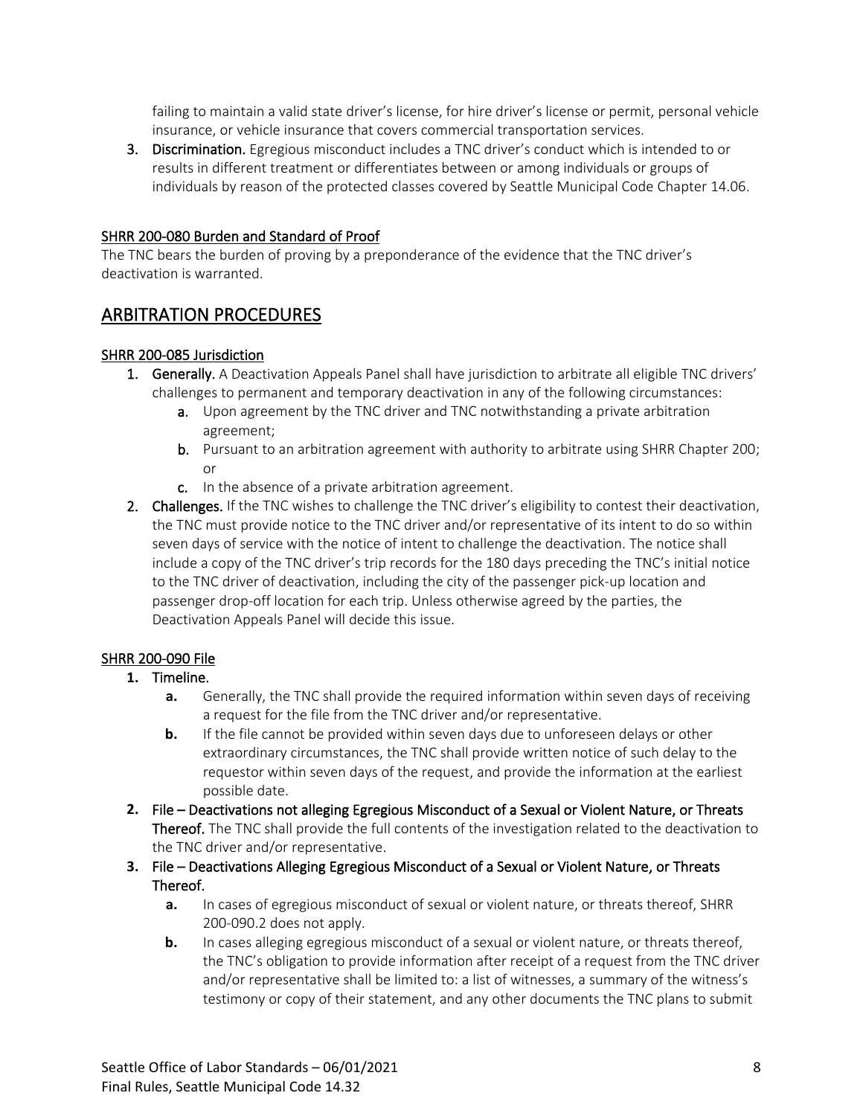failing to maintain a valid state driver's license, for hire driver's license or permit, personal vehicle insurance, or vehicle insurance that covers commercial transportation services.

3. Discrimination. Egregious misconduct includes a TNC driver's conduct which is intended to or results in different treatment or differentiates between or among individuals or groups of individuals by reason of the protected classes covered by Seattle Municipal Code Chapter 14.06.

#### <span id="page-7-0"></span>SHRR 200-080 Burden and Standard of Proof

The TNC bears the burden of proving by a preponderance of the evidence that the TNC driver's deactivation is warranted.

# <span id="page-7-1"></span>ARBITRATION PROCEDURES

#### <span id="page-7-2"></span>SHRR 200-085 Jurisdiction

- 1. Generally. A Deactivation Appeals Panel shall have jurisdiction to arbitrate all eligible TNC drivers' challenges to permanent and temporary deactivation in any of the following circumstances:
	- a. Upon agreement by the TNC driver and TNC notwithstanding a private arbitration agreement;
	- b. Pursuant to an arbitration agreement with authority to arbitrate using SHRR Chapter 200; or
	- c. In the absence of a private arbitration agreement.
- 2. Challenges. If the TNC wishes to challenge the TNC driver's eligibility to contest their deactivation, the TNC must provide notice to the TNC driver and/or representative of its intent to do so within seven days of service with the notice of intent to challenge the deactivation. The notice shall include a copy of the TNC driver's trip records for the 180 days preceding the TNC's initial notice to the TNC driver of deactivation, including the city of the passenger pick-up location and passenger drop-off location for each trip. Unless otherwise agreed by the parties, the Deactivation Appeals Panel will decide this issue.

## <span id="page-7-3"></span>SHRR 200-090 File

## **1.** Timeline.

- **a.** Generally, the TNC shall provide the required information within seven days of receiving a request for the file from the TNC driver and/or representative.
- **b.** If the file cannot be provided within seven days due to unforeseen delays or other extraordinary circumstances, the TNC shall provide written notice of such delay to the requestor within seven days of the request, and provide the information at the earliest possible date.
- **2.** File Deactivations not alleging Egregious Misconduct of a Sexual or Violent Nature, or Threats Thereof. The TNC shall provide the full contents of the investigation related to the deactivation to the TNC driver and/or representative.
- **3.** File Deactivations Alleging Egregious Misconduct of a Sexual or Violent Nature, or Threats Thereof.
	- **a.** In cases of egregious misconduct of sexual or violent nature, or threats thereof, SHRR 200-090.2 does not apply.
	- **b.** In cases alleging egregious misconduct of a sexual or violent nature, or threats thereof, the TNC's obligation to provide information after receipt of a request from the TNC driver and/or representative shall be limited to: a list of witnesses, a summary of the witness's testimony or copy of their statement, and any other documents the TNC plans to submit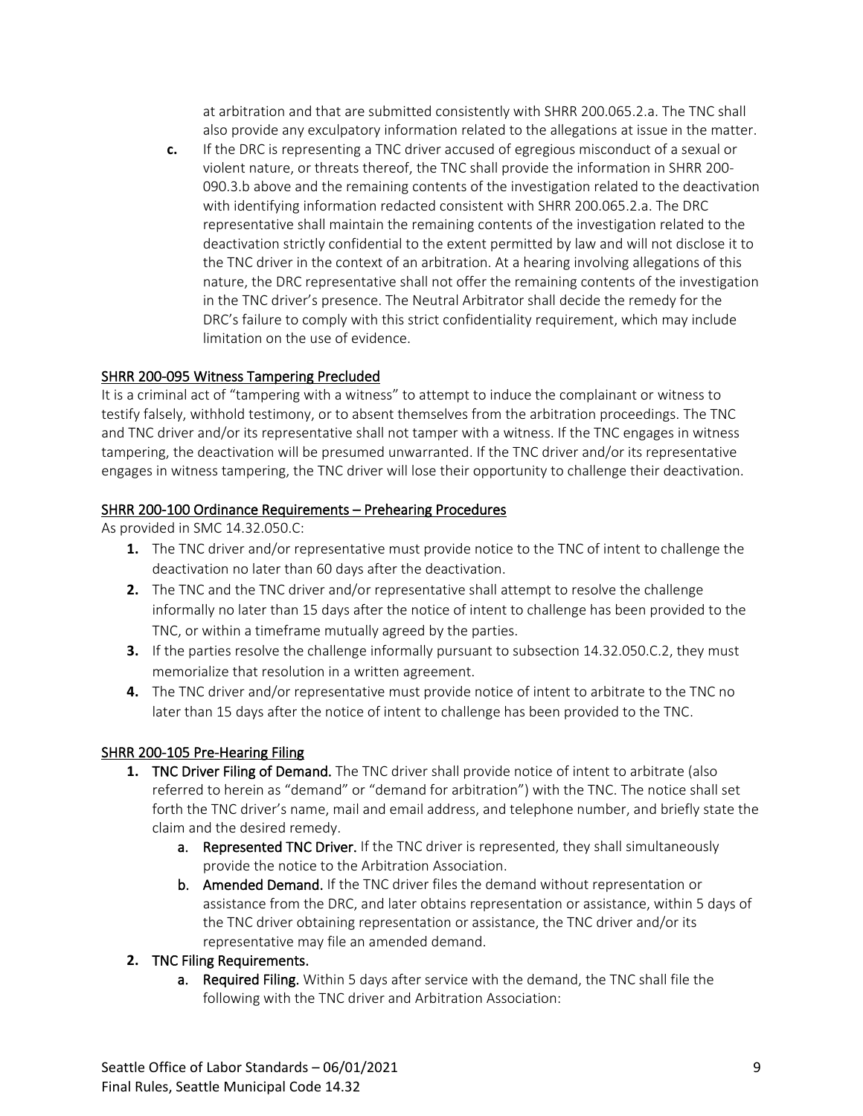at arbitration and that are submitted consistently with SHRR 200.065.2.a. The TNC shall also provide any exculpatory information related to the allegations at issue in the matter.

**c.** If the DRC is representing a TNC driver accused of egregious misconduct of a sexual or violent nature, or threats thereof, the TNC shall provide the information in SHRR 200- 090.3.b above and the remaining contents of the investigation related to the deactivation with identifying information redacted consistent with SHRR 200.065.2.a. The DRC representative shall maintain the remaining contents of the investigation related to the deactivation strictly confidential to the extent permitted by law and will not disclose it to the TNC driver in the context of an arbitration. At a hearing involving allegations of this nature, the DRC representative shall not offer the remaining contents of the investigation in the TNC driver's presence. The Neutral Arbitrator shall decide the remedy for the DRC's failure to comply with this strict confidentiality requirement, which may include limitation on the use of evidence.

## <span id="page-8-0"></span>SHRR 200-095 Witness Tampering Precluded

It is a criminal act of "tampering with a witness" to attempt to induce the complainant or witness to testify falsely, withhold testimony, or to absent themselves from the arbitration proceedings. The TNC and TNC driver and/or its representative shall not tamper with a witness. If the TNC engages in witness tampering, the deactivation will be presumed unwarranted. If the TNC driver and/or its representative engages in witness tampering, the TNC driver will lose their opportunity to challenge their deactivation.

## <span id="page-8-1"></span>SHRR 200-100 Ordinance Requirements – Prehearing Procedures

As provided in SMC 14.32.050.C:

- **1.** The TNC driver and/or representative must provide notice to the TNC of intent to challenge the deactivation no later than 60 days after the deactivation.
- **2.** The TNC and the TNC driver and/or representative shall attempt to resolve the challenge informally no later than 15 days after the notice of intent to challenge has been provided to the TNC, or within a timeframe mutually agreed by the parties.
- **3.** If the parties resolve the challenge informally pursuant to subsection 14.32.050.C.2, they must memorialize that resolution in a written agreement.
- **4.** The TNC driver and/or representative must provide notice of intent to arbitrate to the TNC no later than 15 days after the notice of intent to challenge has been provided to the TNC.

## <span id="page-8-2"></span>SHRR 200-105 Pre-Hearing Filing

- **1. TNC Driver Filing of Demand.** The TNC driver shall provide notice of intent to arbitrate (also referred to herein as "demand" or "demand for arbitration") with the TNC. The notice shall set forth the TNC driver's name, mail and email address, and telephone number, and briefly state the claim and the desired remedy.
	- a. Represented TNC Driver. If the TNC driver is represented, they shall simultaneously provide the notice to the Arbitration Association.
	- b. Amended Demand. If the TNC driver files the demand without representation or assistance from the DRC, and later obtains representation or assistance, within 5 days of the TNC driver obtaining representation or assistance, the TNC driver and/or its representative may file an amended demand.

## **2.** TNC Filing Requirements.

a. Required Filing. Within 5 days after service with the demand, the TNC shall file the following with the TNC driver and Arbitration Association: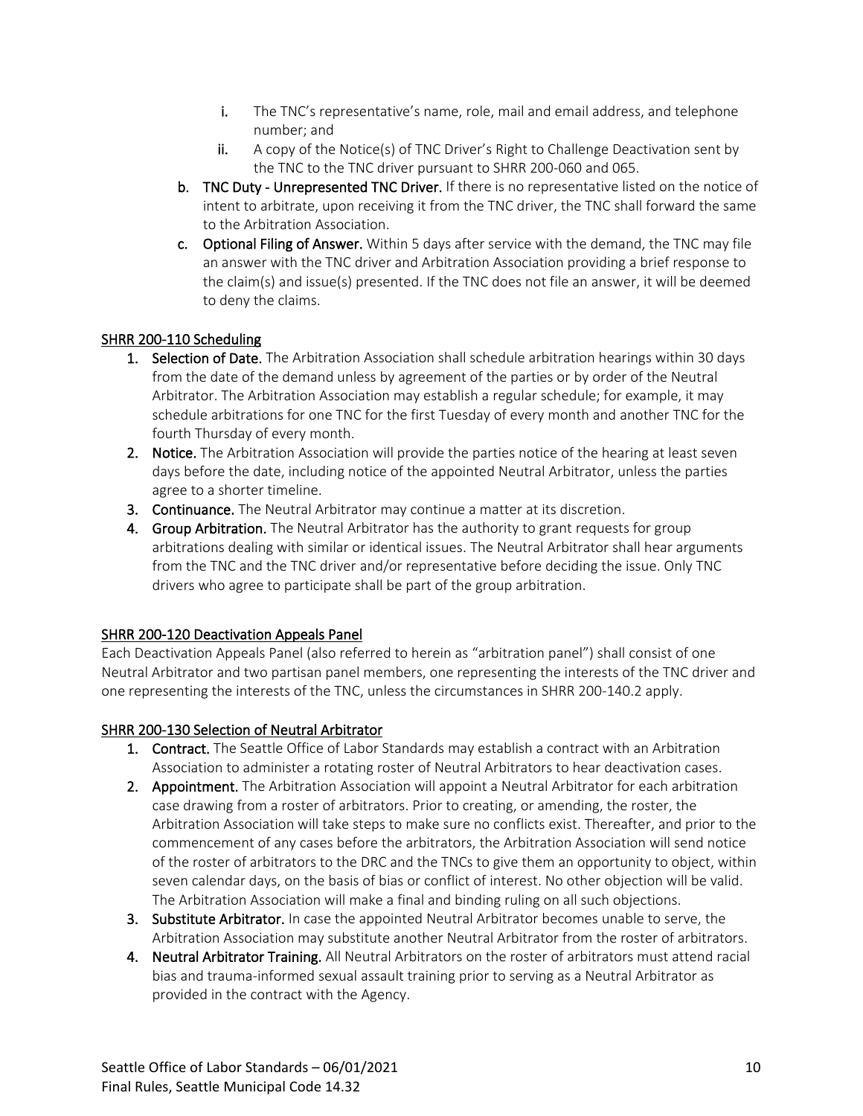- i. The TNC's representative's name, role, mail and email address, and telephone number; and
- ii. A copy of the Notice(s) of TNC Driver's Right to Challenge Deactivation sent by the TNC to the TNC driver pursuant to SHRR 200-060 and 065.
- b. TNC Duty Unrepresented TNC Driver. If there is no representative listed on the notice of intent to arbitrate, upon receiving it from the TNC driver, the TNC shall forward the same to the Arbitration Association.
- c. Optional Filing of Answer. Within 5 days after service with the demand, the TNC may file an answer with the TNC driver and Arbitration Association providing a brief response to the claim(s) and issue(s) presented. If the TNC does not file an answer, it will be deemed to deny the claims.

## <span id="page-9-0"></span>SHRR 200-110 Scheduling

- 1. Selection of Date. The Arbitration Association shall schedule arbitration hearings within 30 days from the date of the demand unless by agreement of the parties or by order of the Neutral Arbitrator. The Arbitration Association may establish a regular schedule; for example, it may schedule arbitrations for one TNC for the first Tuesday of every month and another TNC for the fourth Thursday of every month.
- 2. Notice. The Arbitration Association will provide the parties notice of the hearing at least seven days before the date, including notice of the appointed Neutral Arbitrator, unless the parties agree to a shorter timeline.
- **3.** Continuance. The Neutral Arbitrator may continue a matter at its discretion.
- 4. Group Arbitration. The Neutral Arbitrator has the authority to grant requests for group arbitrations dealing with similar or identical issues. The Neutral Arbitrator shall hear arguments from the TNC and the TNC driver and/or representative before deciding the issue. Only TNC drivers who agree to participate shall be part of the group arbitration.

## <span id="page-9-1"></span>SHRR 200-120 Deactivation Appeals Panel

Each Deactivation Appeals Panel (also referred to herein as "arbitration panel") shall consist of one Neutral Arbitrator and two partisan panel members, one representing the interests of the TNC driver and one representing the interests of the TNC, unless the circumstances in SHRR 200-140.2 apply.

## <span id="page-9-2"></span>SHRR 200-130 Selection of Neutral Arbitrator

- 1. Contract. The Seattle Office of Labor Standards may establish a contract with an Arbitration Association to administer a rotating roster of Neutral Arbitrators to hear deactivation cases.
- 2. Appointment. The Arbitration Association will appoint a Neutral Arbitrator for each arbitration case drawing from a roster of arbitrators. Prior to creating, or amending, the roster, the Arbitration Association will take steps to make sure no conflicts exist. Thereafter, and prior to the commencement of any cases before the arbitrators, the Arbitration Association will send notice of the roster of arbitrators to the DRC and the TNCs to give them an opportunity to object, within seven calendar days, on the basis of bias or conflict of interest. No other objection will be valid. The Arbitration Association will make a final and binding ruling on all such objections.
- **3. Substitute Arbitrator.** In case the appointed Neutral Arbitrator becomes unable to serve, the Arbitration Association may substitute another Neutral Arbitrator from the roster of arbitrators.
- 4. Neutral Arbitrator Training. All Neutral Arbitrators on the roster of arbitrators must attend racial bias and trauma-informed sexual assault training prior to serving as a Neutral Arbitrator as provided in the contract with the Agency.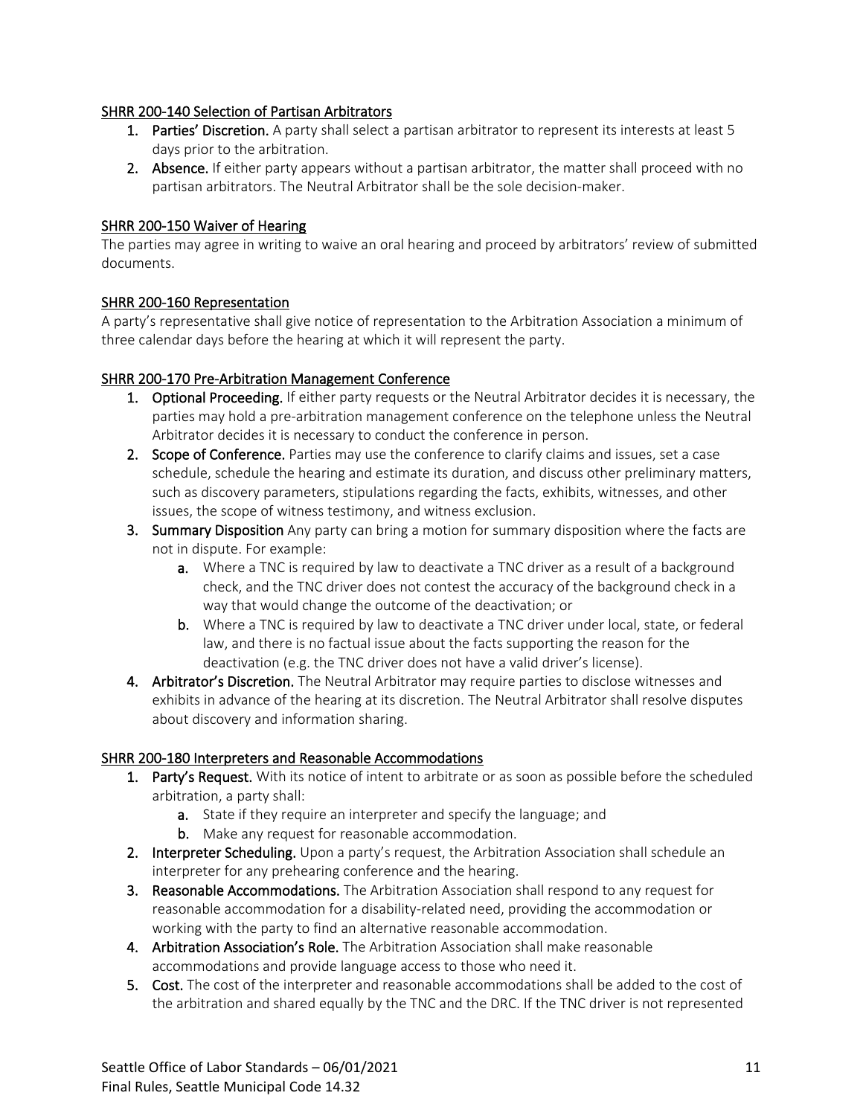#### <span id="page-10-0"></span>SHRR 200-140 Selection of Partisan Arbitrators

- 1. Parties' Discretion. A party shall select a partisan arbitrator to represent its interests at least 5 days prior to the arbitration.
- 2. Absence. If either party appears without a partisan arbitrator, the matter shall proceed with no partisan arbitrators. The Neutral Arbitrator shall be the sole decision-maker.

## <span id="page-10-1"></span>SHRR 200-150 Waiver of Hearing

The parties may agree in writing to waive an oral hearing and proceed by arbitrators' review of submitted documents.

#### <span id="page-10-2"></span>SHRR 200-160 Representation

A party's representative shall give notice of representation to the Arbitration Association a minimum of three calendar days before the hearing at which it will represent the party.

#### <span id="page-10-3"></span>SHRR 200-170 Pre-Arbitration Management Conference

- 1. Optional Proceeding. If either party requests or the Neutral Arbitrator decides it is necessary, the parties may hold a pre-arbitration management conference on the telephone unless the Neutral Arbitrator decides it is necessary to conduct the conference in person.
- 2. Scope of Conference. Parties may use the conference to clarify claims and issues, set a case schedule, schedule the hearing and estimate its duration, and discuss other preliminary matters, such as discovery parameters, stipulations regarding the facts, exhibits, witnesses, and other issues, the scope of witness testimony, and witness exclusion.
- 3. Summary Disposition Any party can bring a motion for summary disposition where the facts are not in dispute. For example:
	- a. Where a TNC is required by law to deactivate a TNC driver as a result of a background check, and the TNC driver does not contest the accuracy of the background check in a way that would change the outcome of the deactivation; or
	- b. Where a TNC is required by law to deactivate a TNC driver under local, state, or federal law, and there is no factual issue about the facts supporting the reason for the deactivation (e.g. the TNC driver does not have a valid driver's license).
- 4. Arbitrator's Discretion. The Neutral Arbitrator may require parties to disclose witnesses and exhibits in advance of the hearing at its discretion. The Neutral Arbitrator shall resolve disputes about discovery and information sharing.

#### <span id="page-10-4"></span>SHRR 200-180 Interpreters and Reasonable Accommodations

- 1. Party's Request. With its notice of intent to arbitrate or as soon as possible before the scheduled arbitration, a party shall:
	- a. State if they require an interpreter and specify the language; and
	- **b.** Make any request for reasonable accommodation.
- 2. Interpreter Scheduling. Upon a party's request, the Arbitration Association shall schedule an interpreter for any prehearing conference and the hearing.
- 3. Reasonable Accommodations. The Arbitration Association shall respond to any request for reasonable accommodation for a disability-related need, providing the accommodation or working with the party to find an alternative reasonable accommodation.
- 4. Arbitration Association's Role. The Arbitration Association shall make reasonable accommodations and provide language access to those who need it.
- 5. Cost. The cost of the interpreter and reasonable accommodations shall be added to the cost of the arbitration and shared equally by the TNC and the DRC. If the TNC driver is not represented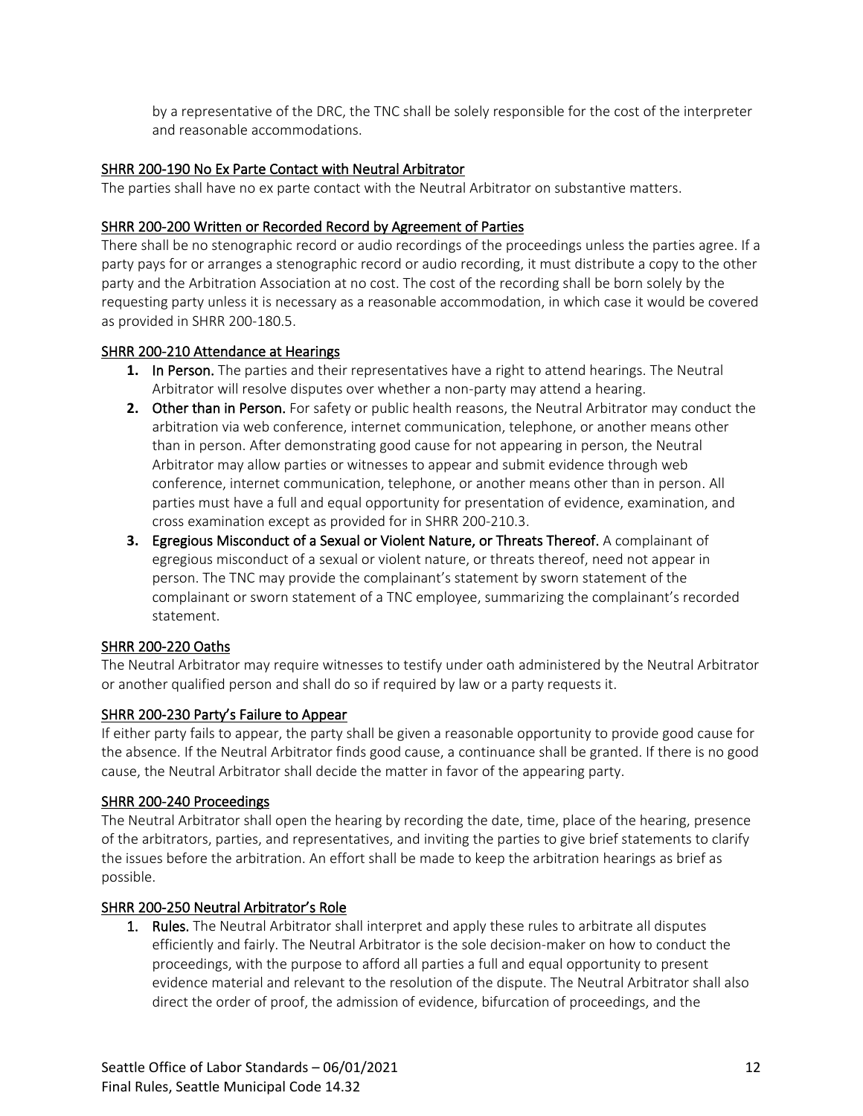by a representative of the DRC, the TNC shall be solely responsible for the cost of the interpreter and reasonable accommodations.

#### <span id="page-11-0"></span>SHRR 200-190 No Ex Parte Contact with Neutral Arbitrator

<span id="page-11-1"></span>The parties shall have no ex parte contact with the Neutral Arbitrator on substantive matters.

#### SHRR 200-200 Written or Recorded Record by Agreement of Parties

There shall be no stenographic record or audio recordings of the proceedings unless the parties agree. If a party pays for or arranges a stenographic record or audio recording, it must distribute a copy to the other party and the Arbitration Association at no cost. The cost of the recording shall be born solely by the requesting party unless it is necessary as a reasonable accommodation, in which case it would be covered as provided in SHRR 200-180.5.

#### <span id="page-11-2"></span>SHRR 200-210 Attendance at Hearings

- **1.** In Person. The parties and their representatives have a right to attend hearings. The Neutral Arbitrator will resolve disputes over whether a non-party may attend a hearing.
- **2.** Other than in Person. For safety or public health reasons, the Neutral Arbitrator may conduct the arbitration via web conference, internet communication, telephone, or another means other than in person. After demonstrating good cause for not appearing in person, the Neutral Arbitrator may allow parties or witnesses to appear and submit evidence through web conference, internet communication, telephone, or another means other than in person. All parties must have a full and equal opportunity for presentation of evidence, examination, and cross examination except as provided for in SHRR 200-210.3.
- **3.** Egregious Misconduct of a Sexual or Violent Nature, or Threats Thereof. A complainant of egregious misconduct of a sexual or violent nature, or threats thereof, need not appear in person. The TNC may provide the complainant's statement by sworn statement of the complainant or sworn statement of a TNC employee, summarizing the complainant's recorded statement.

## <span id="page-11-3"></span>SHRR 200-220 Oaths

The Neutral Arbitrator may require witnesses to testify under oath administered by the Neutral Arbitrator or another qualified person and shall do so if required by law or a party requests it.

#### <span id="page-11-4"></span>SHRR 200-230 Party's Failure to Appear

If either party fails to appear, the party shall be given a reasonable opportunity to provide good cause for the absence. If the Neutral Arbitrator finds good cause, a continuance shall be granted. If there is no good cause, the Neutral Arbitrator shall decide the matter in favor of the appearing party.

## <span id="page-11-5"></span>SHRR 200-240 Proceedings

The Neutral Arbitrator shall open the hearing by recording the date, time, place of the hearing, presence of the arbitrators, parties, and representatives, and inviting the parties to give brief statements to clarify the issues before the arbitration. An effort shall be made to keep the arbitration hearings as brief as possible.

#### <span id="page-11-6"></span>SHRR 200-250 Neutral Arbitrator's Role

**1.** Rules. The Neutral Arbitrator shall interpret and apply these rules to arbitrate all disputes efficiently and fairly. The Neutral Arbitrator is the sole decision-maker on how to conduct the proceedings, with the purpose to afford all parties a full and equal opportunity to present evidence material and relevant to the resolution of the dispute. The Neutral Arbitrator shall also direct the order of proof, the admission of evidence, bifurcation of proceedings, and the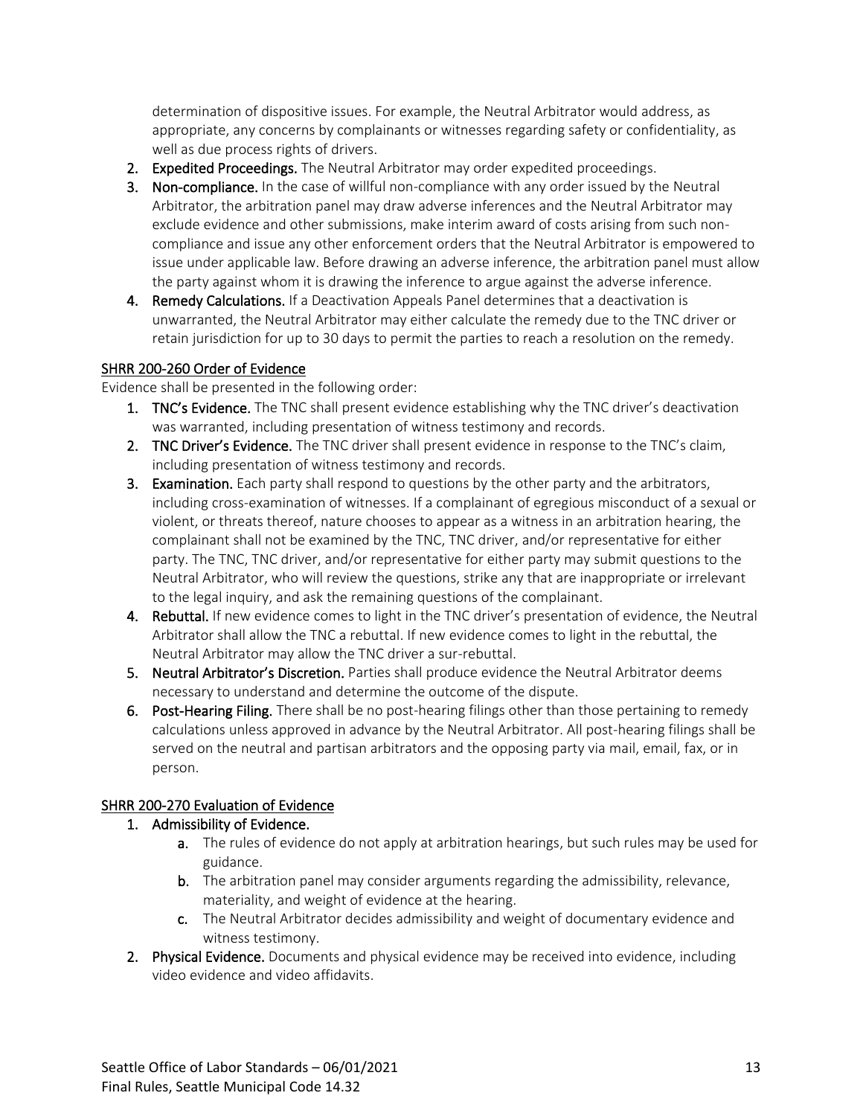determination of dispositive issues. For example, the Neutral Arbitrator would address, as appropriate, any concerns by complainants or witnesses regarding safety or confidentiality, as well as due process rights of drivers.

- 2. Expedited Proceedings. The Neutral Arbitrator may order expedited proceedings.
- **3.** Non-compliance. In the case of willful non-compliance with any order issued by the Neutral Arbitrator, the arbitration panel may draw adverse inferences and the Neutral Arbitrator may exclude evidence and other submissions, make interim award of costs arising from such noncompliance and issue any other enforcement orders that the Neutral Arbitrator is empowered to issue under applicable law. Before drawing an adverse inference, the arbitration panel must allow the party against whom it is drawing the inference to argue against the adverse inference.
- 4. Remedy Calculations. If a Deactivation Appeals Panel determines that a deactivation is unwarranted, the Neutral Arbitrator may either calculate the remedy due to the TNC driver or retain jurisdiction for up to 30 days to permit the parties to reach a resolution on the remedy.

## <span id="page-12-0"></span>SHRR 200-260 Order of Evidence

Evidence shall be presented in the following order:

- **1. TNC's Evidence.** The TNC shall present evidence establishing why the TNC driver's deactivation was warranted, including presentation of witness testimony and records.
- 2. TNC Driver's Evidence. The TNC driver shall present evidence in response to the TNC's claim, including presentation of witness testimony and records.
- **3.** Examination. Each party shall respond to questions by the other party and the arbitrators, including cross-examination of witnesses. If a complainant of egregious misconduct of a sexual or violent, or threats thereof, nature chooses to appear as a witness in an arbitration hearing, the complainant shall not be examined by the TNC, TNC driver, and/or representative for either party. The TNC, TNC driver, and/or representative for either party may submit questions to the Neutral Arbitrator, who will review the questions, strike any that are inappropriate or irrelevant to the legal inquiry, and ask the remaining questions of the complainant.
- 4. Rebuttal. If new evidence comes to light in the TNC driver's presentation of evidence, the Neutral Arbitrator shall allow the TNC a rebuttal. If new evidence comes to light in the rebuttal, the Neutral Arbitrator may allow the TNC driver a sur-rebuttal.
- 5. Neutral Arbitrator's Discretion. Parties shall produce evidence the Neutral Arbitrator deems necessary to understand and determine the outcome of the dispute.
- 6. Post-Hearing Filing. There shall be no post-hearing filings other than those pertaining to remedy calculations unless approved in advance by the Neutral Arbitrator. All post-hearing filings shall be served on the neutral and partisan arbitrators and the opposing party via mail, email, fax, or in person.

## <span id="page-12-1"></span>SHRR 200-270 Evaluation of Evidence

## 1. Admissibility of Evidence.

- a. The rules of evidence do not apply at arbitration hearings, but such rules may be used for guidance.
- b. The arbitration panel may consider arguments regarding the admissibility, relevance, materiality, and weight of evidence at the hearing.
- c. The Neutral Arbitrator decides admissibility and weight of documentary evidence and witness testimony.
- 2. Physical Evidence. Documents and physical evidence may be received into evidence, including video evidence and video affidavits.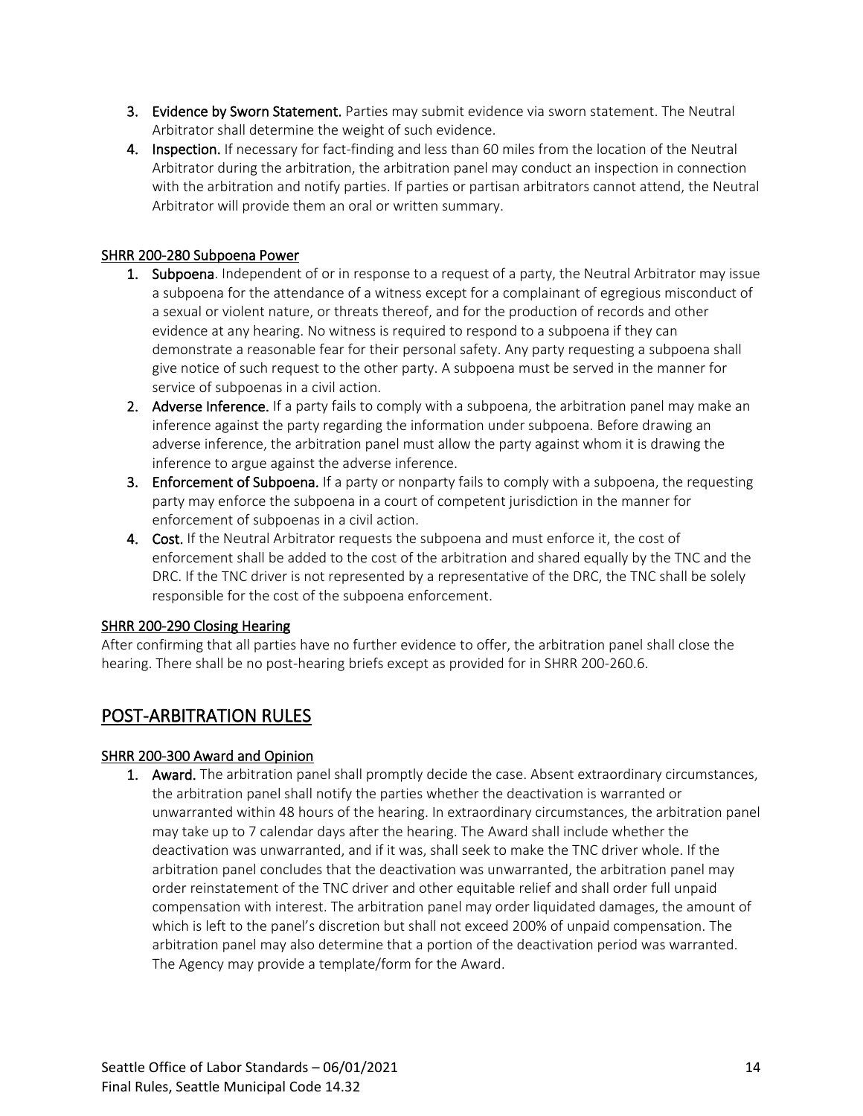- **3. Evidence by Sworn Statement.** Parties may submit evidence via sworn statement. The Neutral Arbitrator shall determine the weight of such evidence.
- 4. Inspection. If necessary for fact-finding and less than 60 miles from the location of the Neutral Arbitrator during the arbitration, the arbitration panel may conduct an inspection in connection with the arbitration and notify parties. If parties or partisan arbitrators cannot attend, the Neutral Arbitrator will provide them an oral or written summary.

## <span id="page-13-0"></span>SHRR 200-280 Subpoena Power

- **1.** Subpoena. Independent of or in response to a request of a party, the Neutral Arbitrator may issue a subpoena for the attendance of a witness except for a complainant of egregious misconduct of a sexual or violent nature, or threats thereof, and for the production of records and other evidence at any hearing. No witness is required to respond to a subpoena if they can demonstrate a reasonable fear for their personal safety. Any party requesting a subpoena shall give notice of such request to the other party. A subpoena must be served in the manner for service of subpoenas in a civil action.
- 2. Adverse Inference. If a party fails to comply with a subpoena, the arbitration panel may make an inference against the party regarding the information under subpoena. Before drawing an adverse inference, the arbitration panel must allow the party against whom it is drawing the inference to argue against the adverse inference.
- 3. Enforcement of Subpoena. If a party or nonparty fails to comply with a subpoena, the requesting party may enforce the subpoena in a court of competent jurisdiction in the manner for enforcement of subpoenas in a civil action.
- 4. Cost. If the Neutral Arbitrator requests the subpoena and must enforce it, the cost of enforcement shall be added to the cost of the arbitration and shared equally by the TNC and the DRC. If the TNC driver is not represented by a representative of the DRC, the TNC shall be solely responsible for the cost of the subpoena enforcement.

## <span id="page-13-1"></span>SHRR 200-290 Closing Hearing

After confirming that all parties have no further evidence to offer, the arbitration panel shall close the hearing. There shall be no post-hearing briefs except as provided for in SHRR 200-260.6.

# <span id="page-13-2"></span>POST-ARBITRATION RULES

## <span id="page-13-3"></span>SHRR 200-300 Award and Opinion

1. Award. The arbitration panel shall promptly decide the case. Absent extraordinary circumstances, the arbitration panel shall notify the parties whether the deactivation is warranted or unwarranted within 48 hours of the hearing. In extraordinary circumstances, the arbitration panel may take up to 7 calendar days after the hearing. The Award shall include whether the deactivation was unwarranted, and if it was, shall seek to make the TNC driver whole. If the arbitration panel concludes that the deactivation was unwarranted, the arbitration panel may order reinstatement of the TNC driver and other equitable relief and shall order full unpaid compensation with interest. The arbitration panel may order liquidated damages, the amount of which is left to the panel's discretion but shall not exceed 200% of unpaid compensation. The arbitration panel may also determine that a portion of the deactivation period was warranted. The Agency may provide a template/form for the Award.